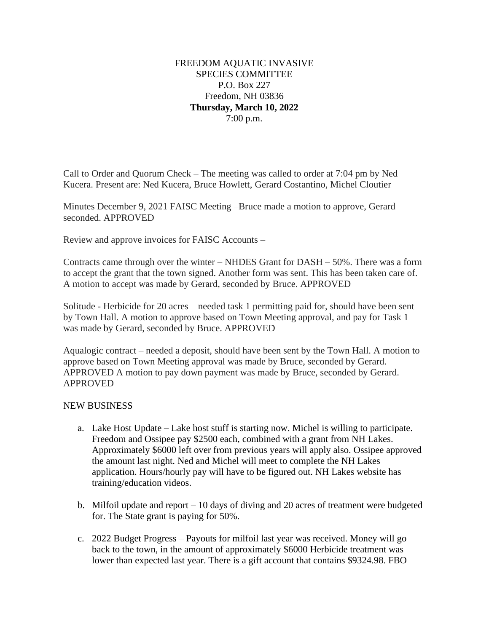## FREEDOM AQUATIC INVASIVE SPECIES COMMITTEE P.O. Box 227 Freedom, NH 03836 **Thursday, March 10, 2022** 7:00 p.m.

Call to Order and Quorum Check – The meeting was called to order at 7:04 pm by Ned Kucera. Present are: Ned Kucera, Bruce Howlett, Gerard Costantino, Michel Cloutier

Minutes December 9, 2021 FAISC Meeting –Bruce made a motion to approve, Gerard seconded. APPROVED

Review and approve invoices for FAISC Accounts –

Contracts came through over the winter – NHDES Grant for DASH – 50%. There was a form to accept the grant that the town signed. Another form was sent. This has been taken care of. A motion to accept was made by Gerard, seconded by Bruce. APPROVED

Solitude - Herbicide for 20 acres – needed task 1 permitting paid for, should have been sent by Town Hall. A motion to approve based on Town Meeting approval, and pay for Task 1 was made by Gerard, seconded by Bruce. APPROVED

Aqualogic contract – needed a deposit, should have been sent by the Town Hall. A motion to approve based on Town Meeting approval was made by Bruce, seconded by Gerard. APPROVED A motion to pay down payment was made by Bruce, seconded by Gerard. APPROVED

## NEW BUSINESS

- a. Lake Host Update Lake host stuff is starting now. Michel is willing to participate. Freedom and Ossipee pay \$2500 each, combined with a grant from NH Lakes. Approximately \$6000 left over from previous years will apply also. Ossipee approved the amount last night. Ned and Michel will meet to complete the NH Lakes application. Hours/hourly pay will have to be figured out. NH Lakes website has training/education videos.
- b. Milfoil update and report 10 days of diving and 20 acres of treatment were budgeted for. The State grant is paying for 50%.
- c. 2022 Budget Progress Payouts for milfoil last year was received. Money will go back to the town, in the amount of approximately \$6000 Herbicide treatment was lower than expected last year. There is a gift account that contains \$9324.98. FBO